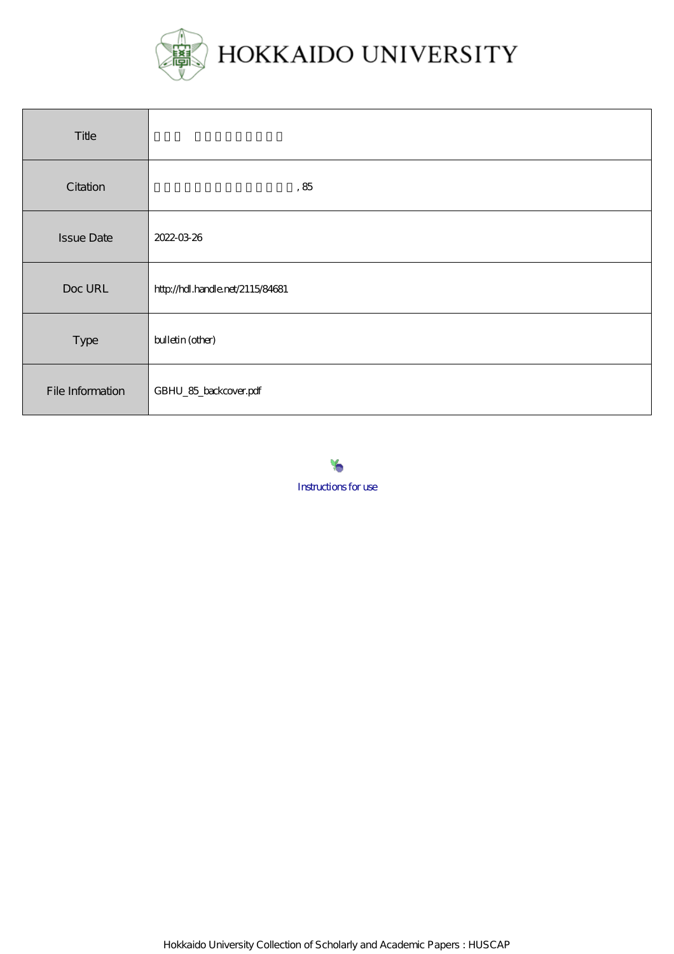

| Title             |                                  |
|-------------------|----------------------------------|
| Citation          | , $85$                           |
| <b>Issue Date</b> | 2022-03-26                       |
| Doc URL           | http://hdl.handle.net/2115/84681 |
| Type              | bulletin (other)                 |
| File Information  | GBHU_85_backcover.pdf            |



Hokkaido University Collection of Scholarly and Academic Papers : HUSCAP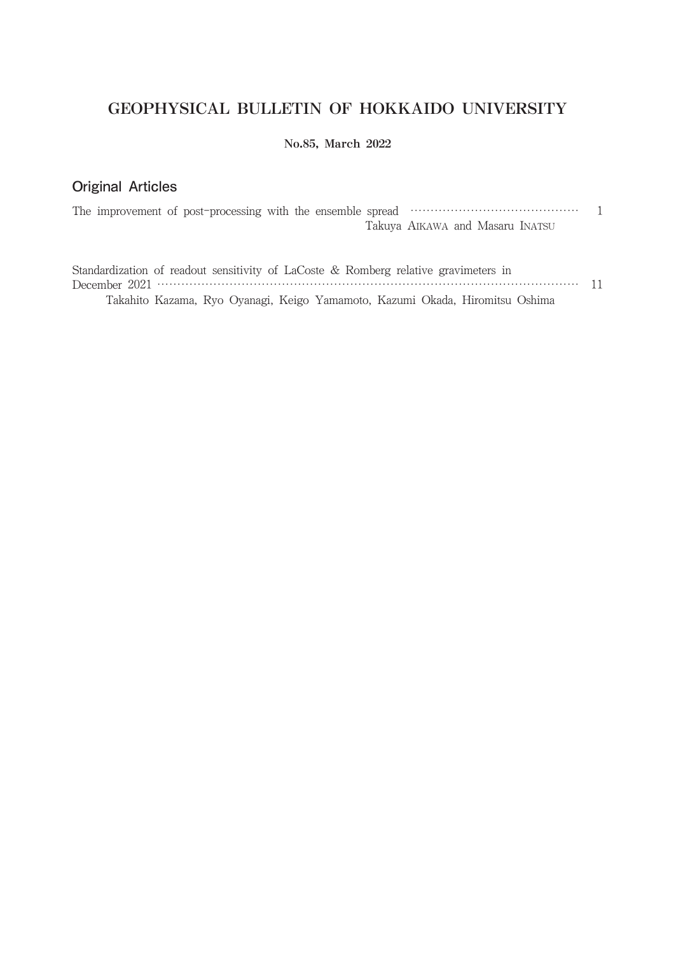# GEOPHYSICAL BULLETIN OF HOKKAIDO UNIVERSITY

## No.85, March 2022

## Original  Articles

|  |  |  |  | Takuya AIKAWA and Masaru INATSU |  |
|--|--|--|--|---------------------------------|--|

| Standardization of readout sensitivity of LaCoste & Romberg relative gravimeters in |  |  |  |  |                                                                              |  |
|-------------------------------------------------------------------------------------|--|--|--|--|------------------------------------------------------------------------------|--|
|                                                                                     |  |  |  |  |                                                                              |  |
|                                                                                     |  |  |  |  | Takahito Kazama, Ryo Oyanagi, Keigo Yamamoto, Kazumi Okada, Hiromitsu Oshima |  |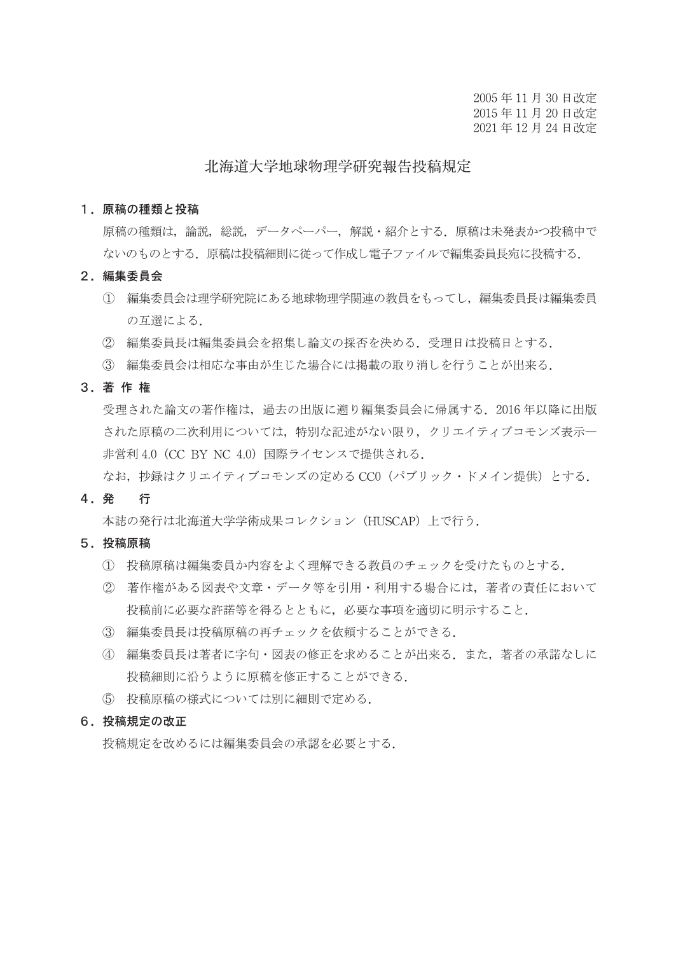2005 年 11 月 30 日改定 2015 年 11 月 20 日改定 2021 年 12 月 24 日改定

## 北海道大学地球物理学研究報告投稿規定

#### 1.原稿の種類と投稿

 原稿の種類は,論説,総説,データペーパー,解説・紹介とする.原稿は未発表かつ投稿中で ないのものとする.原稿は投稿細則に従って作成し電子ファイルで編集委員長宛に投稿する.

- 2.編集委員会
	- ① 編集委員会は理学研究院にある地球物理学関連の教員をもってし,編集委員長は編集委員 の互選による.
	- ② 編集委員長は編集委員会を招集し論文の採否を決める.受理日は投稿日とする.
	- ③ 編集委員会は相応な事由が生じた場合には掲載の取り消しを行うことが出来る.

3.著 作 権

 受理された論文の著作権は,過去の出版に遡り編集委員会に帰属する.2016 年以降に出版 された原稿の二次利用については,特別な記述がない限り,クリエイティブコモンズ表示― 非営利 4.0 (CC BY NC 4.0) 国際ライセンスで提供される.

なお. 抄録はクリエイティブコモンズの定める CC0 (パブリック・ドメイン提供)とする.

#### 4.発 行

本誌の発行は北海道大学学術成果コレクション(HUSCAP)上で行う.

#### 5.投稿原稿

- ① 投稿原稿は編集委員か内容をよく理解できる教員のチェックを受けたものとする.
- ② 著作権がある図表や文章・データ等を引用・利用する場合には,著者の責任において 投稿前に必要な許諾等を得るとともに,必要な事項を適切に明示すること.
- ③ 編集委員長は投稿原稿の再チェックを依頼することができる.
- ④ 編集委員長は著者に字句・図表の修正を求めることが出来る.また,著者の承諾なしに 投稿細則に沿うように原稿を修正することができる.
- ⑤ 投稿原稿の様式については別に細則で定める.

#### 6.投稿規定の改正

投稿規定を改めるには編集委員会の承認を必要とする.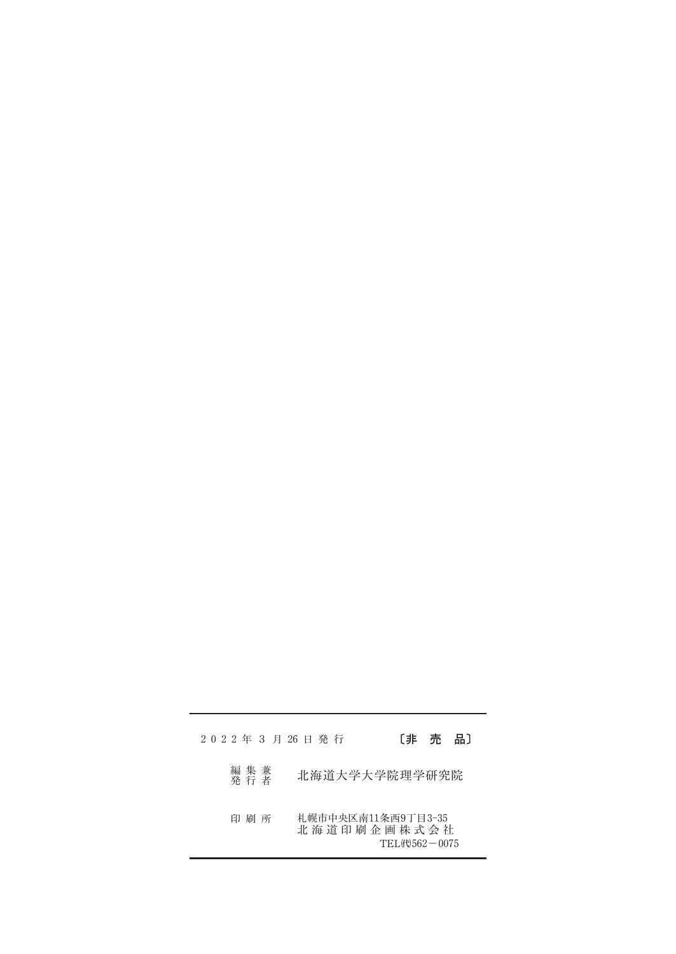### 2022年3月26日発行 [非 売 品]

- 編集兼<br>発行者 北海道大学大学院理学研究院
- 印 刷 所 札幌市中央区南11条西9丁目3-35 北海道印刷企画株式会社  $\text{TEL}(\mathfrak{h})562-0075$